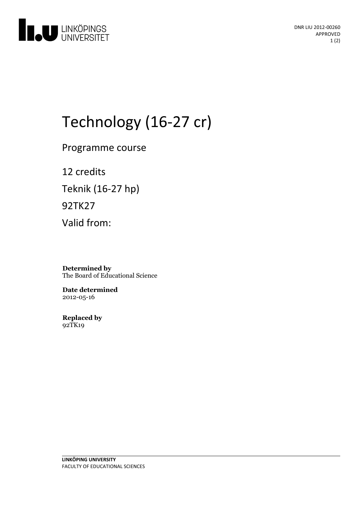

DNR LIU 2012-00260 APPROVED 1 (2)

# Technology (16-27 cr)

Programme course

12 credits Teknik (16-27 hp) 92TK27 Valid from:

**Determined by** The Board of Educational Science

**Date determined** 2012-05-16

**Replaced by** 92TK19

**LINKÖPING UNIVERSITY** FACULTY OF EDUCATIONAL SCIENCES